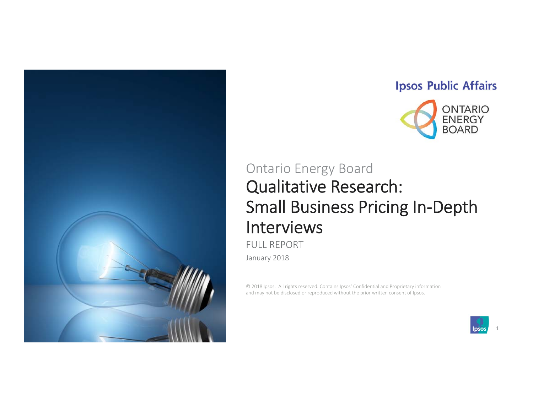

### **Ipsos Public Affairs**



# Qualitative Research: Small Business Pricing In‐Depth Interviews Ontario Energy Board

FULL REPORT

January 2018

© 2018 Ipsos. All rights reserved. Contains Ipsos' Confidential and Proprietary information and may not be disclosed or reproduced without the prior written consent of Ipsos.

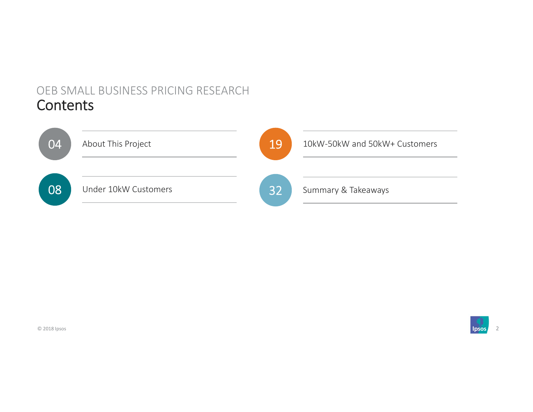# OEB SMALL BUSINESS PRICING RESEARCH Contents



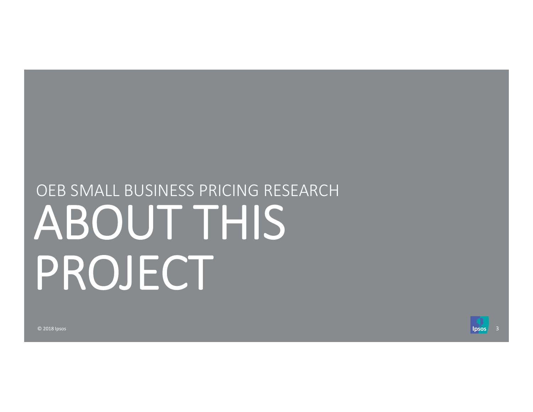# ABOUT THIS PROJECT OEB SMALL BUSINESS PRICING RESEARCH

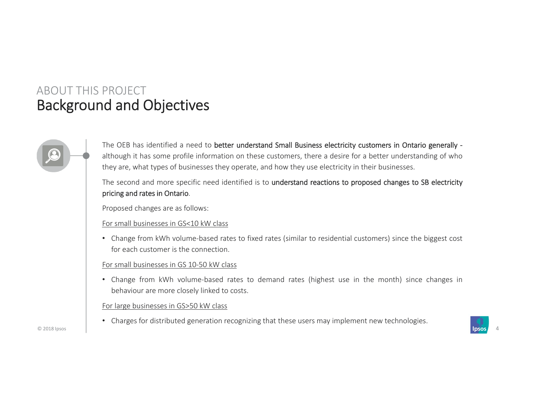# Background and Objectives ABOUT THIS PROJECT

The OEB has identified a need to better understand Small Business electricity customers in Ontario generally although it has some profile information on these customers, there <sup>a</sup> desire for <sup>a</sup> better understanding of who they are, what types of businesses they operate, and how they use electricity in their businesses.

The second and more specific need identified is to understand reactions to proposed changes to SB electricity pricing and rates in Ontario.

Proposed changes are as follows:

#### For small businesses in GS<10 kW class

• Change from kWh volume‐based rates to fixed rates (similar to residential customers) since the biggest cost for each customer is the connection.

#### For small businesses in GS 10‐50 kW class

• Change from kWh volume‐based rates to demand rates (highest use in the month) since changes in behaviour are more closely linked to costs.

For large businesses in GS>50 kW class

• Charges for distributed generation recognizing that these users may implement new technologies.

© 2018 Ipsos 4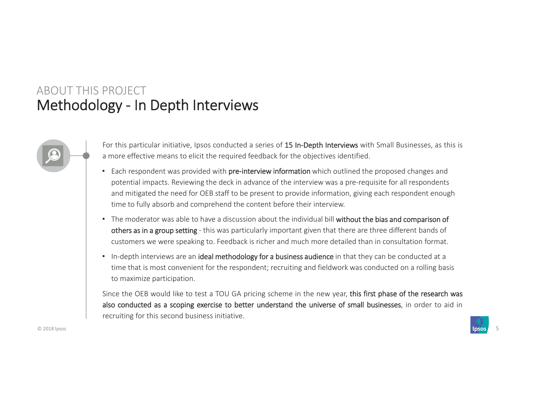# Methodology ‐ In Depth Interviews ABOUT THIS PROJECT

For this particular initiative, Ipsos conducted a series of 15 In-Depth Interviews with Small Businesses, as this is <sup>a</sup> more effective means to elicit the required feedback for the objectives identified.

- Each respondent was provided with **pre-interview information** which outlined the proposed changes and potential impacts. Reviewing the deck in advance of the interview was a pre-requisite for all respondents and mitigated the need for OEB staff to be present to provide information, giving each respondent enough time to fully absorb and comprehend the content before their interview.
- The moderator was able to have a discussion about the individual bill without the bias and comparison of others as in a group setting - this was particularly important given that there are three different bands of customers we were speaking to. Feedback is richer and much more detailed than in consultation format.
- In-depth interviews are an ideal methodology for a business audience in that they can be conducted at a time that is most convenient for the respondent; recruiting and fieldwork was conducted on a rolling basis to maximize participation.

Since the OEB would like to test a TOU GA pricing scheme in the new year, this first phase of the research was also conducted as <sup>a</sup> scoping exercise to better understand the universe of small businesses, in order to aid in recruiting for this second business initiative.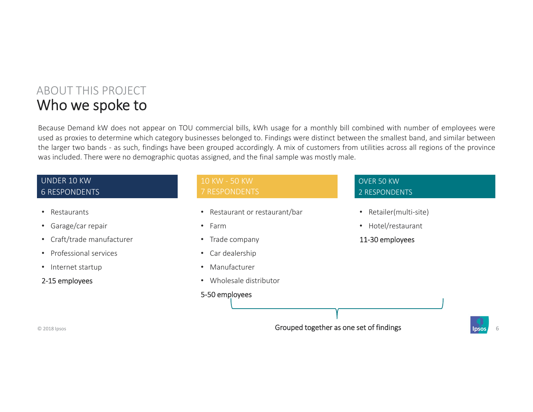# Who we spoke to ABOUT THIS PROJECT

Because Demand kW does not appear on TOU commercial bills, kWh usage for <sup>a</sup> monthly bill combined with number of employees were used as proxies to determine which category businesses belonged to. Findings were distinct between the smallest band, and similar between the larger two bands ‐ as such, findings have been grouped accordingly. A mix of customers from utilities across all regions of the province was included. There were no demographic quotas assigned, and the final sample was mostly male.

#### UNDER 10 KW 6 RESPONDENTS

- Restaurants
- Garage/car repair
- Craft/trade manufacturer
- Professional services
- Internet startup
- 2‐15 employees

- Restaurant or restaurant/bar
- Farm
- Trade company
- Car dealership
- Manufacturer
- Wholesale distributor

#### 5‐50 employees

#### OVER 50 KW2 RESPONDENTS

- Retailer(multi‐site)
- Hotel/restaurant
- 11‐30 employees

© 2018 Ipsos 6 and 2018 Ipsos 6 and 2018 Ipsos 6 and 2018 Ipsos 6 and 2018 Ipsos 6 and 2018 Ipsos 6 and 2018 Ipsos 6 and 2018 Ipsos 6 and 2018 Ipsos 6 and 2018 Ipsos 6 and 2018 Ipsos 6 and 2018 Ipsos 6 and 2019 Ipsos 6 and

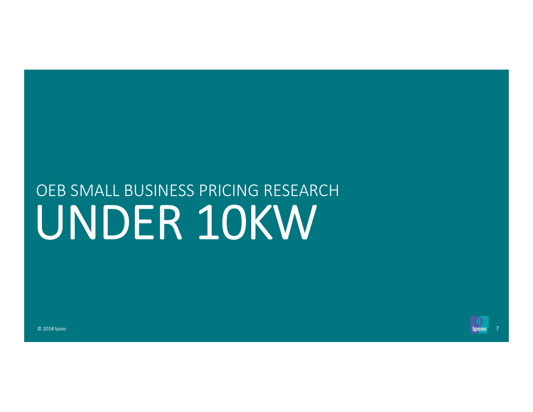# UNDER 10KW OEB SMALL BUSINESS PRICING RESEARCH

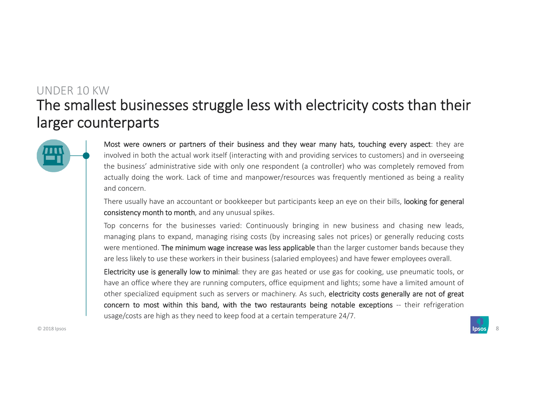# The smallest businesses struggle less with electricity costs than their larger counterparts UNDER 10 KW



Most were owners or partners of their business and they wear many hats, touching every aspect: they are involved in both the actual work itself (interacting with and providing services to customers) and in overseeing the business' administrative side with only one respondent (a controller) who was completely removed from actually doing the work. Lack of time and manpower/resources was frequently mentioned as being <sup>a</sup> reality and concern.

There usually have an accountant or bookkeeper but participants keep an eye on their bills, looking for general consistency month to month, and any unusual spikes.

Top concerns for the businesses varied: Continuously bringing in new business and chasing new leads, managing plans to expand, managing rising costs (by increasing sales not prices) or generally reducing costs were mentioned. The minimum wage increase was less applicable than the larger customer bands because they are less likely to use these workers in their business (salaried employees) and have fewer employees overall.

Electricity use is generally low to minimal: they are gas heated or use gas for cooking, use pneumatic tools, or have an office where they are running computers, office equipment and lights; some have <sup>a</sup> limited amount of other specialized equipment such as servers or machinery. As such, electricity costs generally are not of great concern to most within this band, with the two restaurants being notable exceptions ‐‐ their refrigeration usage/costs are high as they need to keep food at <sup>a</sup> certain temperature 24/7.

© 2018 Ipsos **8 and 1 psos 8 and 1 psos 8 and 1 psos 8 and 1 psos 8 and 1 psos 8 and 1 psos 8 and 1 psos 8 and 1 psos 8** 

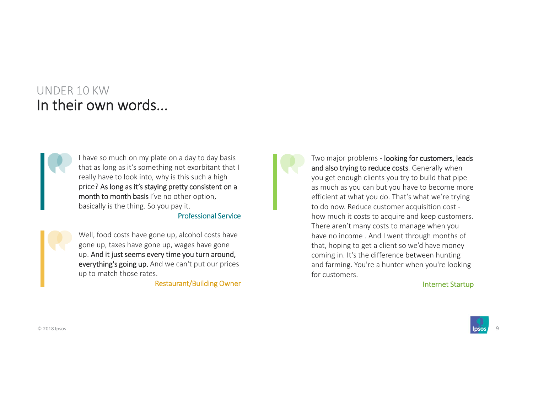## UNDER 10 KWIn their own words...



I have so much on my plate on a day to day basis that as long as it's something not exorbitant that I really have to look into, why is this such a high price? As long as it's staying pretty consistent on a month to month basis I've no other option, basically is the thing. So you pay it.

Professional Service

Well, food costs have gone up, alcohol costs have gone up, taxes have gone up, wages have gone up. And it just seems every time you turn around, everything's going up. And we can't put our prices up to match those rates.

Restaurant/Building Owner

Two major problems - looking for customers, leads and also trying to reduce costs. Generally when you get enough clients you try to build that pipe as much as you can but you have to become more efficient at what you do. That's what we're trying to do now. Reduce customer acquisition cost ‐ how much it costs to acquire and keep customers. There aren't many costs to manage when you have no income . And I went through months of that, hoping to get a client so we'd have money coming in. It's the difference between hunting and farming. You're a hunter when you're looking for customers.

Internet Startup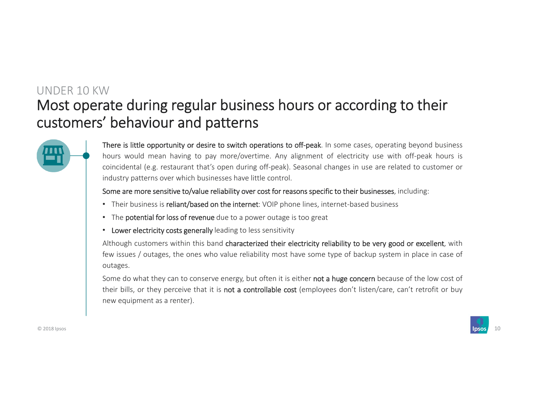# Most operate during regular business hours or according to their customers' behaviour and patterns UNDER 10 KW



There is little opportunity or desire to switch operations to off-peak. In some cases, operating beyond business hours would mean having to pay more/overtime. Any alignment of electricity use with off-peak hours is coincidental (e.g. restaurant that's open during off‐peak). Seasonal changes in use are related to customer or industry patterns over which businesses have little control.

Some are more sensitive to/value reliability over cost for reasons specific to their businesses, including:

- Their business is reliant/based on the internet: VOIP phone lines, internet-based business
- The **potential for loss of revenue** due to a power outage is too great
- Lower electricity costs generally leading to less sensitivity

Although customers within this band characterized their electricity reliability to be very good or excellent, with few issues / outages, the ones who value reliability most have some type of backup system in place in case of outages.

Some do what they can to conserve energy, but often it is either not a huge concern because of the low cost of their bills, or they perceive that it is not a controllable cost (employees don't listen/care, can't retrofit or buy new equipment as <sup>a</sup> renter).

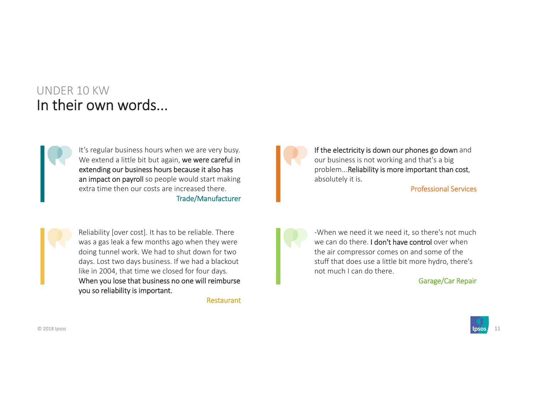## UNDER 10 KWIn their own words...



It's regular business hours when we are very busy. We extend a little bit but again, we were careful in extending our business hours because it also has an impact on payroll so people would start making extra time then our costs are increased there.Trade/Manufacturer



Reliability [over cost]. It has to be reliable. There was a gas leak a few months ago when they were doing tunnel work. We had to shut down for two days. Lost two days business. If we had a blackout like in 2004, that time we closed for four days. When you lose that business no one will reimburse you so reliability is important.

Restaurant

If the electricity is down our phones go down and our business is not working and that's a big problem...Reliability is more important than cost, absolutely it is.

Professional Services

‐When we need it we need it, so there's not much we can do there. I don't have control over when the air compressor comes on and some of the stuff that does use a little bit more hydro, there's not much I can do there.

Garage/Car Repair

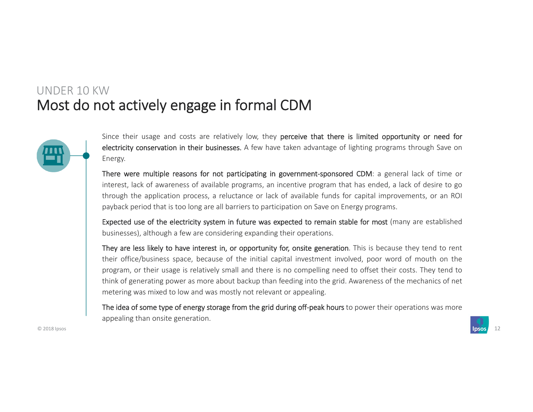### Most do not actively engage in formal CDM UNDER 10 KW



Since their usage and costs are relatively low, they perceive that there is limited opportunity or need for electricity conservation in their businesses. A few have taken advantage of lighting programs through Save on Energy.

There were multiple reasons for not participating in government-sponsored CDM: a general lack of time or interest, lack of awareness of available programs, an incentive program that has ended, <sup>a</sup> lack of desire to go through the application process, <sup>a</sup> reluctance or lack of available funds for capital improvements, or an ROI payback period that is too long are all barriers to participation on Save on Energy programs.

Expected use of the electricity system in future was expected to remain stable for most (many are established businesses), although <sup>a</sup> few are considering expanding their operations.

They are less likely to have interest in, or opportunity for, onsite generation. This is because they tend to rent their office/business space, because of the initial capital investment involved, poor word of mouth on the program, or their usage is relatively small and there is no compelling need to offset their costs. They tend to think of generating power as more about backup than feeding into the grid. Awareness of the mechanics of net metering was mixed to low and was mostly not relevant or appealing.

The idea of some type of energy storage from the grid during off-peak hours to power their operations was more appealing than onsite generation.

© 2018 Ipsos 12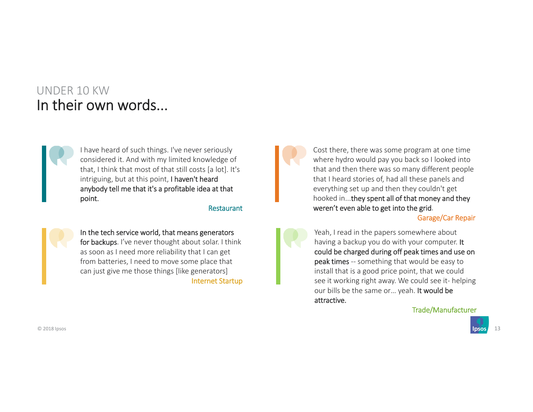## UNDER 10 KWIn their own words...



I have heard of such things. I've never seriously considered it. And with my limited knowledge of that, I think that most of that still costs [a lot]. It's intriguing, but at this point, I haven't heard anybody tell me that it's a profitable idea at that point.

#### Restaurant



In the tech service world, that means generators for backups. I've never thought about solar. I think as soon as I need more reliability that I can get from batteries, I need to move some place that can just give me those things [like generators] Internet Startup

Cost there, there was some program at one time where hydro would pay you back so I looked into that and then there was so many different people that I heard stories of, had all these panels and everything set up and then they couldn't get hooked in...they spent all of that money and they weren't even able to get into the grid.

Garage/Car Repair

Yeah, I read in the papers somewhere about having a backup you do with your computer. It could be charged during off peak times and use on peak times -- something that would be easy to install that is a good price point, that we could see it working right away. We could see it- helping our bills be the same or… yeah. It would be attractive.

Trade/Manufacturer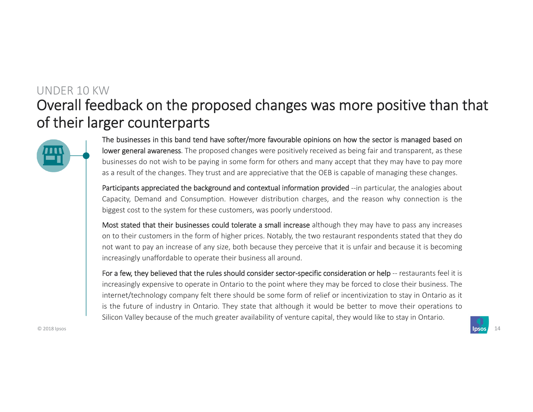# Overall feedback on the proposed changes was more positive than that of their larger counterparts UNDER 10 KW



The businesses in this band tend have softer/more favourable opinions on how the sector is managed based on lower general awareness. The proposed changes were positively received as being fair and transparent, as these businesses do not wish to be paying in some form for others and many accept that they may have to pay more as <sup>a</sup> result of the changes. They trust and are appreciative that the OEB is capable of managing these changes.

Participants appreciated the background and contextual information provided --in particular, the analogies about Capacity, Demand and Consumption. However distribution charges, and the reason why connection is the biggest cost to the system for these customers, was poorly understood.

Most stated that their businesses could tolerate a small increase although they may have to pass any increases on to their customers in the form of higher prices. Notably, the two restaurant respondents stated that they do not want to pay an increase of any size, both because they perceive that it is unfair and because it is becoming increasingly unaffordable to operate their business all around.

For a few, they believed that the rules should consider sector-specific consideration or help -- restaurants feel it is increasingly expensive to operate in Ontario to the point where they may be forced to close their business. The internet/technology company felt there should be some form of relief or incentivization to stay in Ontario as it is the future of industry in Ontario. They state that although it would be better to move their operations to Silicon Valley because of the much greater availability of venture capital, they would like to stay in Ontario.

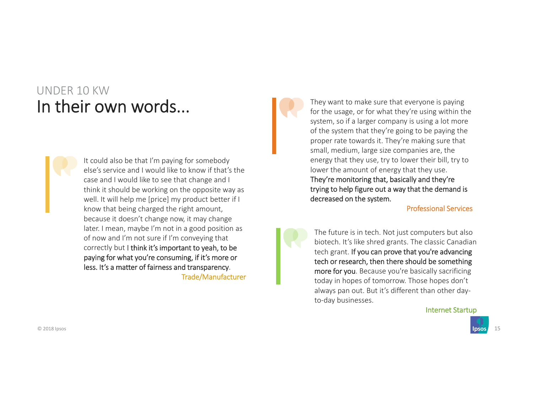# UNDER 10 KWIn their own words...



It could also be that I'm paying for somebody else's service and I would like to know if that's the case and I would like to see that change and I think it should be working on the opposite way as well. It will help me [price] my product better if I know that being charged the right amount, because it doesn't change now, it may change later. I mean, maybe I'm not in a good position as of now and I'm not sure if I'm conveying that correctly but I think it's important to yeah, to be paying for what you're consuming, if it's more or less. It's a matter of fairness and transparency. Trade/Manufacturer  They want to make sure that everyone is paying for the usage, or for what they're using within the system, so if a larger company is using a lot more of the system that they're going to be paying the proper rate towards it. They're making sure that small, medium, large size companies are, the energy that they use, try to lower their bill, try to lower the amount of energy that they use. They're monitoring that, basically and they're trying to help figure out a way that the demand is decreased on the system.

Professional Services

The future is in tech. Not just computers but also biotech. It's like shred grants. The classic Canadian tech grant. If you can prove that you're advancing tech or research, then there should be something more for you. Because you're basically sacrificing today in hopes of tomorrow. Those hopes don't always pan out. But it's different than other day‐ to‐day businesses.

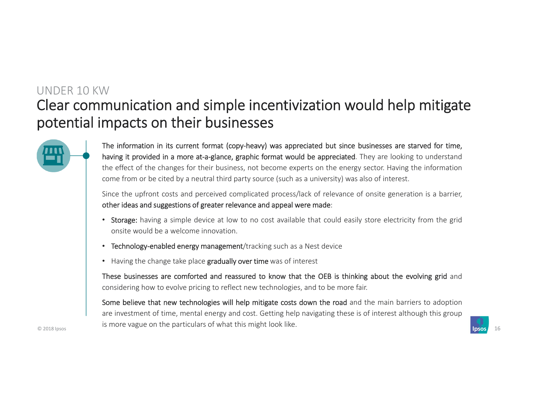# Clear communication and simple incentivization would help mitigate potential impacts on their businesses UNDER 10 KW



The information in its current format (copy-heavy) was appreciated but since businesses are starved for time, having it provided in a more at-a-glance, graphic format would be appreciated. They are looking to understand the effect of the changes for their business, not become experts on the energy sector. Having the information come from or be cited by <sup>a</sup> neutral third party source (such as <sup>a</sup> university) was also of interest.

Since the upfront costs and perceived complicated process/lack of relevance of onsite generation is <sup>a</sup> barrier, other ideas and suggestions of greater relevance and appeal were made:

- Storage: having a simple device at low to no cost available that could easily store electricity from the grid onsite would be <sup>a</sup> welcome innovation.
- Technology-enabled energy management/tracking such as a Nest device
- Having the change take place **gradually over time** was of interest

These businesses are comforted and reassured to know that the OEB is thinking about the evolving grid and considering how to evolve pricing to reflect new technologies, and to be more fair.

© 2018 Ipsos 16 Some believe that new technologies will help mitigate costs down the road and the main barriers to adoption are investment of time, mental energy and cost. Getting help navigating these is of interest although this group is more vague on the particulars of what this might look like.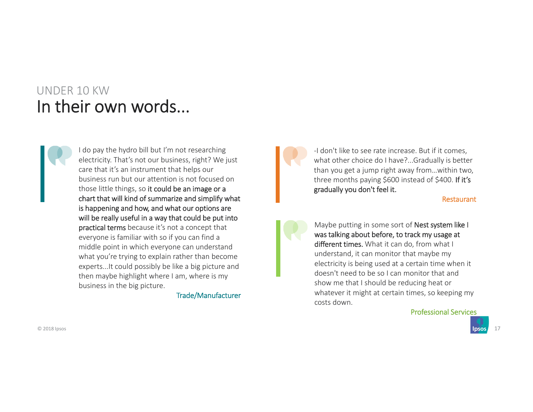# UNDER 10 KWIn their own words...

I do pay the hydro bill but I'm not researching electricity. That's not our business, right? We just care that it's an instrument that helps our business run but our attention is not focused on those little things, so it could be an image or a chart that will kind of summarize and simplify what is happening and how, and what our options are will be really useful in a way that could be put into practical terms because it's not a concept that everyone is familiar with so if you can find a middle point in which everyone can understand what you're trying to explain rather than become experts...It could possibly be like a big picture and then maybe highlight where I am, where is my business in the big picture.

Trade/Manufacturer

‐I don't like to see rate increase. But if it comes, what other choice do I have?...Gradually is better than you get a jump right away from…within two, three months paying \$600 instead of \$400. If it's gradually you don't feel it.

Restaurant

Maybe putting in some sort of Nest system like I was talking about before, to track my usage at different times. What it can do, from what I understand, it can monitor that maybe my electricity is being used at a certain time when it doesn't need to be so I can monitor that and show me that I should be reducing heat or whatever it might at certain times, so keeping my costs down.

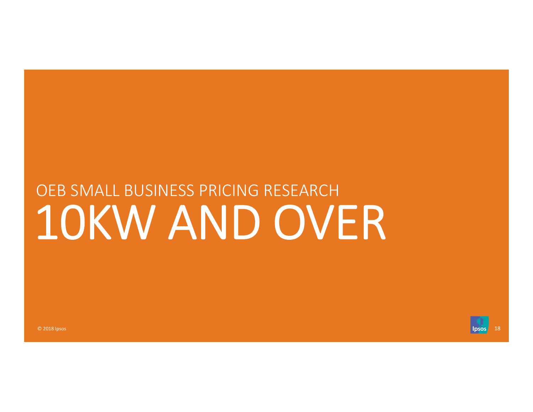# 10KW AND OVER OEB SMALL BUSINESS PRICING RESEARCH

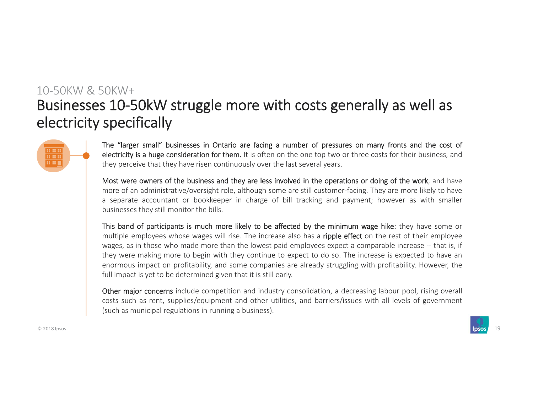# Businesses 10‐50kW struggle more with costs generally as well as electricity specifically 10‐50KW & 50KW+



The "larger small" businesses in Ontario are facing <sup>a</sup> number of pressures on many fronts and the cost of electricity is a huge consideration for them. It is often on the one top two or three costs for their business, and they perceive that they have risen continuously over the last several years.

Most were owners of the business and they are less involved in the operations or doing of the work, and have more of an administrative/oversight role, although some are still customer‐facing. They are more likely to have <sup>a</sup> separate accountant or bookkeeper in charge of bill tracking and payment; however as with smaller businesses they still monitor the bills.

This band of participants is much more likely to be affected by the minimum wage hike: they have some or multiple employees whose wages will rise. The increase also has a ripple effect on the rest of their employee wages, as in those who made more than the lowest paid employees expect <sup>a</sup> comparable increase ‐‐ that is, if they were making more to begin with they continue to expect to do so. The increase is expected to have an enormous impact on profitability, and some companies are already struggling with profitability. However, the full impact is yet to be determined given that it is still early.

Other major concerns include competition and industry consolidation, <sup>a</sup> decreasing labour pool, rising overall costs such as rent, supplies/equipment and other utilities, and barriers/issues with all levels of government (such as municipal regulations in running <sup>a</sup> business).

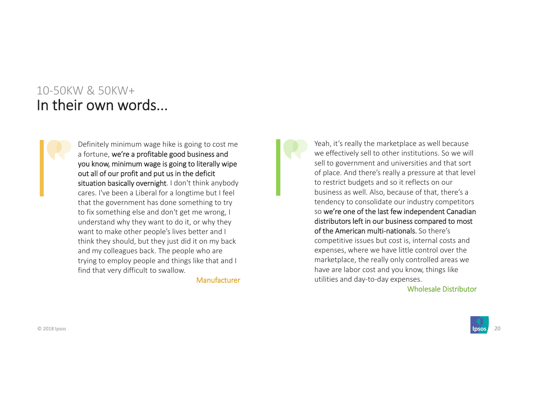### 10‐50KW & 50KW+In their own words...



Definitely minimum wage hike is going to cost me a fortune, we're a profitable good business and you know, minimum wage is going to literally wipe out all of our profit and put us in the deficit situation basically overnight. I don't think anybody cares. I've been a Liberal for a longtime but I feel that the government has done something to try to fix something else and don't get me wrong, I understand why they want to do it, or why they want to make other people's lives better and I think they should, but they just did it on my back and my colleagues back. The people who are trying to employ people and things like that and I find that very difficult to swallow.

Manufacturer

Yeah, it's really the marketplace as well because we effectively sell to other institutions. So we will sell to government and universities and that sort of place. And there's really a pressure at that level to restrict budgets and so it reflects on our business as well. Also, because of that, there's a tendency to consolidate our industry competitors so we're one of the last few independent Canadian distributors left in our business compared to most of the American multi‐nationals. So there's competitive issues but cost is, internal costs and expenses, where we have little control over the marketplace, the really only controlled areas we have are labor cost and you know, things like utilities and day‐to‐day expenses.

Wholesale Distributor

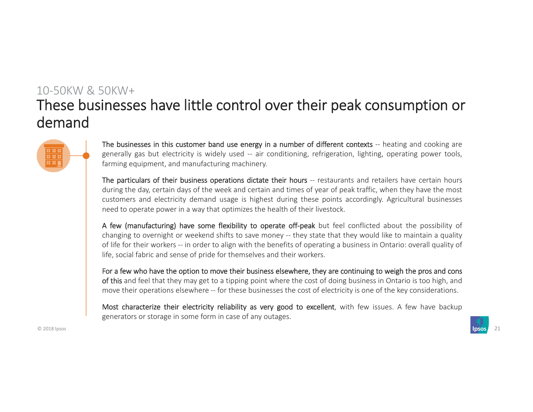# These businesses have little control over their peak consumption or demand10‐50KW & 50KW+



The businesses in this customer band use energy in a number of different contexts -- heating and cooking are generally gas but electricity is widely used -- air conditioning, refrigeration, lighting, operating power tools, farming equipment, and manufacturing machinery.

The particulars of their business operations dictate their hours -- restaurants and retailers have certain hours during the day, certain days of the week and certain and times of year of peak traffic, when they have the most customers and electricity demand usage is highest during these points accordingly. Agricultural businesses need to operate power in <sup>a</sup> way that optimizes the health of their livestock.

A few (manufacturing) have some flexibility to operate off-peak but feel conflicted about the possibility of changing to overnight or weekend shifts to save money ‐‐ they state that they would like to maintain <sup>a</sup> quality of life for their workers ‐‐ in order to align with the benefits of operating <sup>a</sup> business in Ontario: overall quality of life, social fabric and sense of pride for themselves and their workers.

For <sup>a</sup> few who have the option to move their business elsewhere, they are continuing to weigh the pros and cons of this and feel that they may get to <sup>a</sup> tipping point where the cost of doing business in Ontario is too high, and move their operations elsewhere ‐‐ for these businesses the cost of electricity is one of the key considerations.

Most characterize their electricity reliability as very good to excellent, with few issues. A few have backup generators or storage in some form in case of any outages.

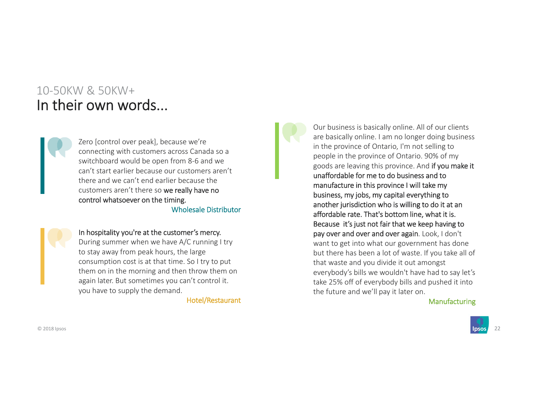### 10‐50KW & 50KW+In their own words...

Zero [control over peak], because we're connecting with customers across Canada so a switchboard would be open from 8‐6 and we can't start earlier because our customers aren't there and we can't end earlier because the customers aren't there so we really have no control whatsoever on the timing. Wholesale Distributor

#### In hospitality you're at the customer's mercy.

During summer when we have A/C running I try to stay away from peak hours, the large consumption cost is at that time. So I try to put them on in the morning and then throw them on again later. But sometimes you can't control it. you have to supply the demand.

Hotel/Restaurant

Our business is basically online. All of our clients are basically online. I am no longer doing business in the province of Ontario, I'm not selling to people in the province of Ontario. 90% of my goods are leaving this province. And if you make it unaffordable for me to do business and to manufacture in this province I will take my business, my jobs, my capital everything to another jurisdiction who is willing to do it at an affordable rate. That's bottom line, what it is. Because it's just not fair that we keep having to pay over and over and over again. Look, I don't want to get into what our government has done but there has been a lot of waste. If you take all of that waste and you divide it out amongst everybody's bills we wouldn't have had to say let's take 25% off of everybody bills and pushed it into the future and we'll pay it later on.

#### Manufacturing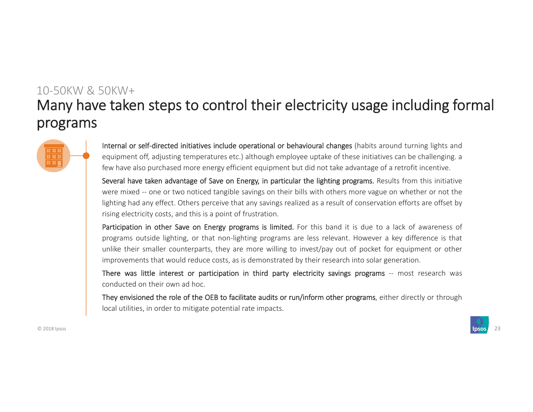# Many have taken steps to control their electricity usage including formal programs 10‐50KW & 50KW+



Internal or self-directed initiatives include operational or behavioural changes (habits around turning lights and equipment off, adjusting temperatures etc.) although employee uptake of these initiatives can be challenging. <sup>a</sup> few have also purchased more energy efficient equipment but did not take advantage of <sup>a</sup> retrofit incentive.

Several have taken advantage of Save on Energy, in particular the lighting programs. Results from this initiative were mixed -- one or two noticed tangible savings on their bills with others more vague on whether or not the lighting had any effect. Others perceive that any savings realized as <sup>a</sup> result of conservation efforts are offset by rising electricity costs, and this is <sup>a</sup> point of frustration.

Participation in other Save on Energy programs is limited. For this band it is due to <sup>a</sup> lack of awareness of programs outside lighting, or that non‐lighting programs are less relevant. However <sup>a</sup> key difference is that unlike their smaller counterparts, they are more willing to invest/pay out of pocket for equipment or other improvements that would reduce costs, as is demonstrated by their research into solar generation.

There was little interest or participation in third party electricity savings programs -- most research was conducted on their own ad hoc.

They envisioned the role of the OEB to facilitate audits or run/inform other programs, either directly or through local utilities, in order to mitigate potential rate impacts.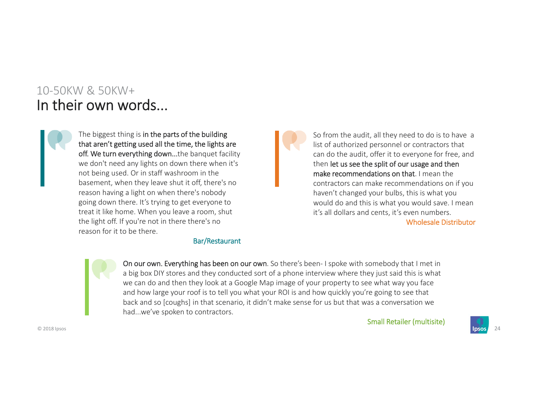## 10‐50KW & 50KW+In their own words...



The biggest thing is in the parts of the building that aren't getting used all the time, the lights are off. We turn everything down...the banquet facility we don't need any lights on down there when it's not being used. Or in staff washroom in the basement, when they leave shut it off, there's no reason having a light on when there's nobody going down there. It's trying to get everyone to treat it like home. When you leave a room, shut the light off. If you're not in there there's no reason for it to be there.

#### Bar/Restaurant

So from the audit, all they need to do is to have a list of authorized personnel or contractors that can do the audit, offer it to everyone for free, and then let us see the split of our usage and then make recommendations on that. I mean the contractors can make recommendations on if you haven't changed your bulbs, this is what you would do and this is what you would save. I mean it's all dollars and cents, it's even numbers.

Wholesale Distributor

On our own. Everything has been on our own. So there's been-I spoke with somebody that I met in a big box DIY stores and they conducted sort of a phone interview where they just said this is what we can do and then they look at a Google Map image of your property to see what way you face and how large your roof is to tell you what your ROI is and how quickly you're going to see that back and so [coughs] in that scenario, it didn't make sense for us but that was a conversation we had...we've spoken to contractors.

Small Retailer (multisite)

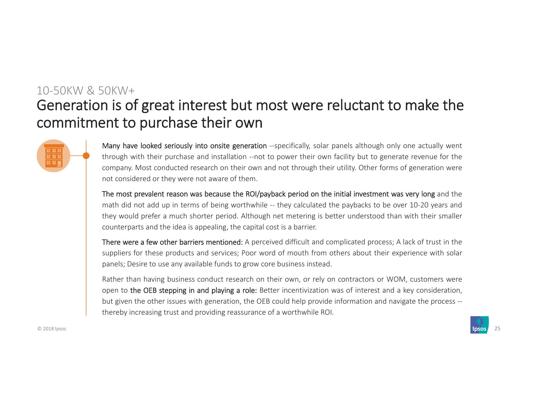# Generation is of great interest but most were reluctant to make the commitment to purchase their own 10‐50KW & 50KW+



Many have looked seriously into onsite generation --specifically, solar panels although only one actually went through with their purchase and installation ‐‐not to power their own facility but to generate revenue for the company. Most conducted research on their own and not through their utility. Other forms of generation were not considered or they were not aware of them.

The most prevalent reason was because the ROI/payback period on the initial investment was very long and the math did not add up in terms of being worthwhile -- they calculated the paybacks to be over 10-20 years and they would prefer <sup>a</sup> much shorter period. Although net metering is better understood than with their smaller counterparts and the idea is appealing, the capital cost is <sup>a</sup> barrier.

There were <sup>a</sup> few other barriers mentioned: A perceived difficult and complicated process; A lack of trust in the suppliers for these products and services; Poor word of mouth from others about their experience with solar panels; Desire to use any available funds to grow core business instead.

Rather than having business conduct research on their own, or rely on contractors or WOM, customers were open to the OEB stepping in and playing <sup>a</sup> role: Better incentivization was of interest and <sup>a</sup> key consideration, but given the other issues with generation, the OEB could help provide information and navigate the process ‐‐ thereby increasing trust and providing reassurance of <sup>a</sup> worthwhile ROI.

© 2018 Ipsos 25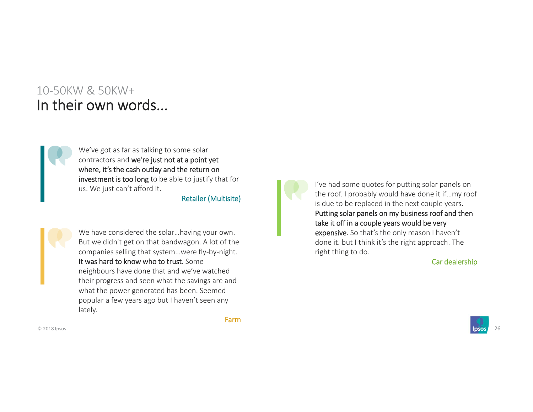### 10‐50KW & 50KW+In their own words...



We've got as far as talking to some solar contractors and we're just not at a point yet where, it's the cash outlay and the return on investment is too long to be able to justify that for us. We just can't afford it.

Retailer (Multisite)



We have considered the solar…having your own. But we didn't get on that bandwagon. A lot of the companies selling that system…were fly‐by‐night. It was hard to know who to trust. Some neighbours have done that and we've watched their progress and seen what the savings are and what the power generated has been. Seemed popular a few years ago but I haven't seen any lately.

I've had some quotes for putting solar panels on the roof. I probably would have done it if…my roof is due to be replaced in the next couple years. Putting solar panels on my business roof and then take it off in a couple years would be very expensive. So that's the only reason I haven't done it. but I think it's the right approach. The right thing to do.

#### Car dealership



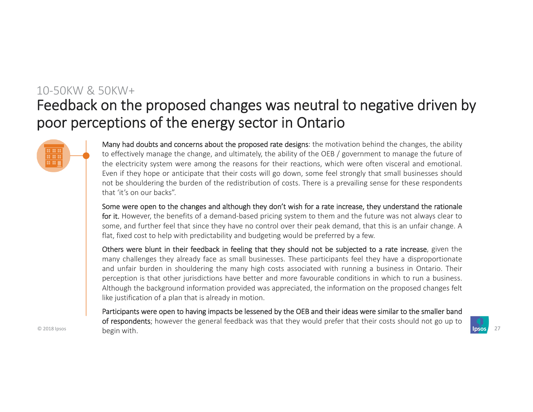# Feedback on the proposed changes was neutral to negative driven by poor perceptions of the energy sector in Ontario 10‐50KW & 50KW+



Many had doubts and concerns about the proposed rate designs: the motivation behind the changes, the ability to effectively manage the change, and ultimately, the ability of the OEB / government to manage the future of the electricity system were among the reasons for their reactions, which were often visceral and emotional. Even if they hope or anticipate that their costs will go down, some feel strongly that small businesses should not be shouldering the burden of the redistribution of costs. There is <sup>a</sup> prevailing sense for these respondents that 'it's on our backs".

Some were open to the changes and although they don't wish for <sup>a</sup> rate increase, they understand the rationale for it. However, the benefits of a demand-based pricing system to them and the future was not always clear to some, and further feel that since they have no control over their peak demand, that this is an unfair change. A flat, fixed cost to help with predictability and budgeting would be preferred by <sup>a</sup> few.

Others were blunt in their feedback in feeling that they should not be subjected to <sup>a</sup> rate increase, given the many challenges they already face as small businesses. These participants feel they have <sup>a</sup> disproportionate and unfair burden in shouldering the many high costs associated with running <sup>a</sup> business in Ontario. Their perception is that other jurisdictions have better and more favourable conditions in which to run <sup>a</sup> business. Although the background information provided was appreciated, the information on the proposed changes felt like justification of <sup>a</sup> plan that is already in motion.

© 2018 Ipsos begin with the control of the control of the control of the control of the control of the control of the control of the control of the control of the control of the control of the control of the control of the Participants were open to having impacts be lessened by the OEB and their ideas were similar to the smaller band of respondents; however the general feedback was that they would prefer that their costs should not go up to begin with.

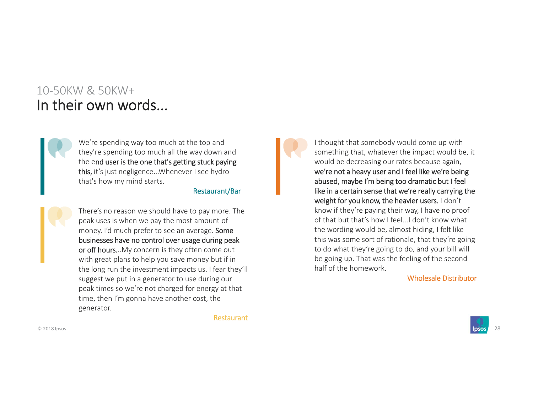### 10‐50KW & 50KW+In their own words...



We're spending way too much at the top and they're spending too much all the way down and the end user is the one that's getting stuck paying this, it's just negligence...Whenever I see hydro that's how my mind starts.

#### Restaurant/Bar

There's no reason we should have to pay more. The peak uses is when we pay the most amount of money. I'd much prefer to see an average. Some businesses have no control over usage during peak or off hours...My concern is they often come out with great plans to help you save money but if in the long run the investment impacts us. I fear they'll suggest we put in a generator to use during our peak times so we're not charged for energy at that time, then I'm gonna have another cost, the generator.

Restaurant

I thought that somebody would come up with something that, whatever the impact would be, it would be decreasing our rates because again, we're not a heavy user and I feel like we're being abused, maybe I'm being too dramatic but I feel like in a certain sense that we're really carrying the weight for you know, the heavier users. I don't know if they're paying their way, I have no proof of that but that's how I feel...I don't know what the wording would be, almost hiding, I felt like this was some sort of rationale, that they're going to do what they're going to do, and your bill will be going up. That was the feeling of the second half of the homework.

Wholesale Distributor

© 2018 Ipsos 28

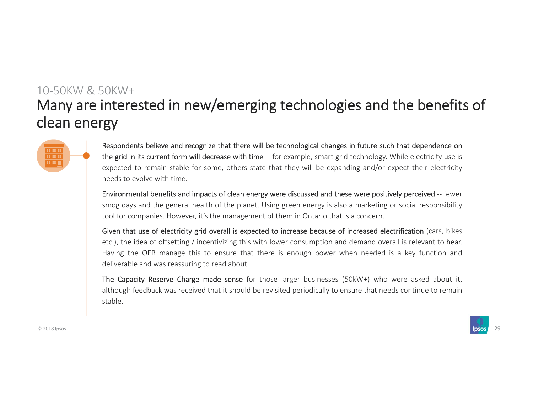# Many are interested in new/emerging technologies and the benefits of clean energy 10‐50KW & 50KW+



Respondents believe and recognize that there will be technological changes in future such that dependence on the grid in its current form will decrease with time -- for example, smart grid technology. While electricity use is expected to remain stable for some, others state that they will be expanding and/or expect their electricity needs to evolve with time.

Environmental benefits and impacts of clean energy were discussed and these were positively perceived ‐‐ fewer smog days and the general health of the planet. Using green energy is also <sup>a</sup> marketing or social responsibility tool for companies. However, it's the management of them in Ontario that is <sup>a</sup> concern.

Given that use of electricity grid overall is expected to increase because of increased electrification (cars, bikes etc.), the idea of offsetting / incentivizing this with lower consumption and demand overall is relevant to hear. Having the OEB manage this to ensure that there is enough power when needed is <sup>a</sup> key function and deliverable and was reassuring to read about.

The Capacity Reserve Charge made sense for those larger businesses (50kW+) who were asked about it, although feedback was received that it should be revisited periodically to ensure that needs continue to remain stable.

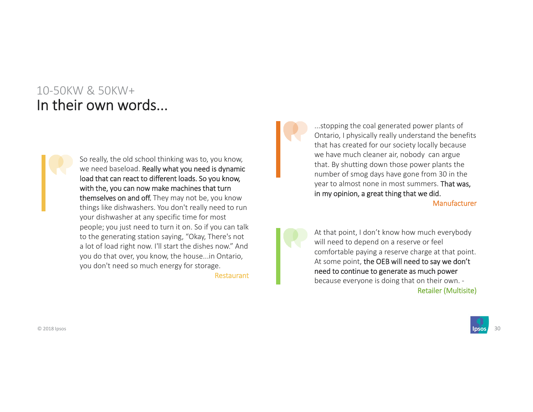## 10‐50KW & 50KW+In their own words...



So really, the old school thinking was to, you know, we need baseload. Really what you need is dynamic load that can react to different loads. So you know, with the, you can now make machines that turn themselves on and off. They may not be, you know things like dishwashers. You don't really need to run your dishwasher at any specific time for most people; you just need to turn it on. So if you can talk to the generating station saying, "Okay, There's not a lot of load right now. I'll start the dishes now." And you do that over, you know, the house...in Ontario, you don't need so much energy for storage.

Restaurant

...stopping the coal generated power plants of Ontario, I physically really understand the benefits that has created for our society locally because we have much cleaner air, nobody can argue that. By shutting down those power plants the number of smog days have gone from 30 in the year to almost none in most summers. That was, in my opinion, a great thing that we did.

Manufacturer

At that point, I don't know how much everybody will need to depend on a reserve or feel comfortable paying a reserve charge at that point. At some point, the OEB will need to say we don't need to continue to generate as much power because everyone is doing that on their own. ‐ Retailer (Multisite)

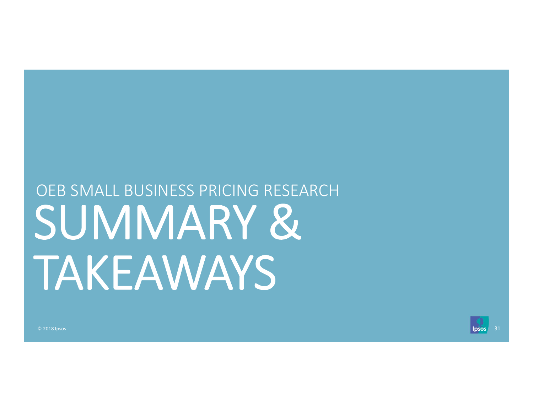# SUMMARY & TAKEAWAYS OEB SMALL BUSINESS PRICING RESEARCH

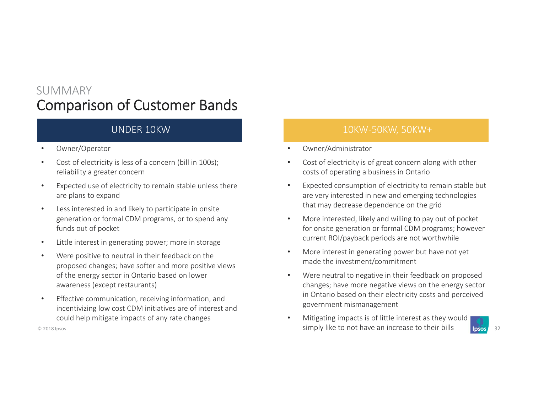## Comparison of Customer Bands SUMMARY

### UNDER 10KW

- •Owner/Operator
- • Cost of electricity is less of a concern (bill in 100s); reliability a greater concern
- • Expected use of electricity to remain stable unless there are plans to expand
- • Less interested in and likely to participate in onsite generation or formal CDM programs, or to spend any funds out of pocket
- •Little interest in generating power; more in storage
- • Were positive to neutral in their feedback on the proposed changes; have softer and more positive views of the energy sector in Ontario based on lower awareness (except restaurants)
- • Effective communication, receiving information, and incentivizing low cost CDM initiatives are of interest and could help mitigate impacts of any rate changes

### 10KW‐50KW, 50KW+

- •Owner/Administrator
- • Cost of electricity is of great concern along with other costs of operating a business in Ontario
- • Expected consumption of electricity to remain stable but are very interested in new and emerging technologies that may decrease dependence on the grid
- • More interested, likely and willing to pay out of pocket for onsite generation or formal CDM programs; however current ROI/payback periods are not worthwhile
- • More interest in generating power but have not yet made the investment/commitment
- • Were neutral to negative in their feedback on proposed changes; have more negative views on the energy sector in Ontario based on their electricity costs and perceived government mismanagement
- © 2018 Ipsos 32 November 2018 In the Simply like to not have an increase to their bills and the simply like to not have an increase to their bills and the simply like to not have an increase to their bills and the simply l  $\bullet$ Mitigating impacts is of little interest as they would

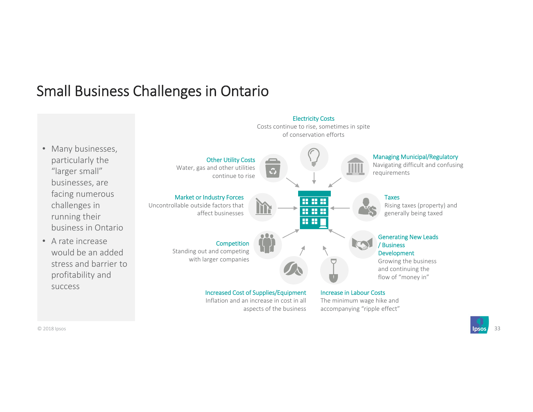# Small Business Challenges in Ontario

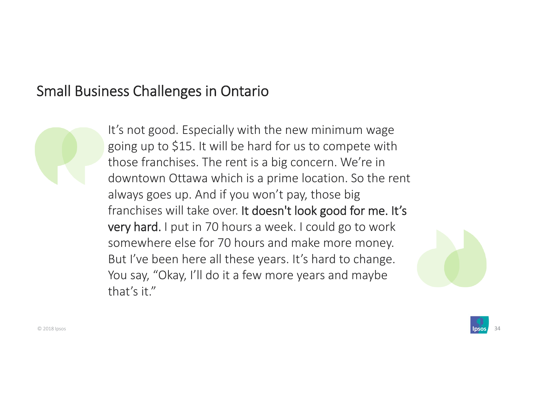# Small Business Challenges in Ontario



It's not good. Especially with the new minimum wage going up to \$15. It will be hard for us to compete with those franchises. The rent is a big concern. We're in downtown Ottawa which is a prime location. So the rent always goes up. And if you won't pay, those big franchises will take over. It doesn't look good for me. It's very hard. I put in 70 hours a week. I could go to work somewhere else for 70 hours and make more money. But I've been here all these years. It's hard to change. You say, "Okay, I'll do it a few more years and maybe that's it."

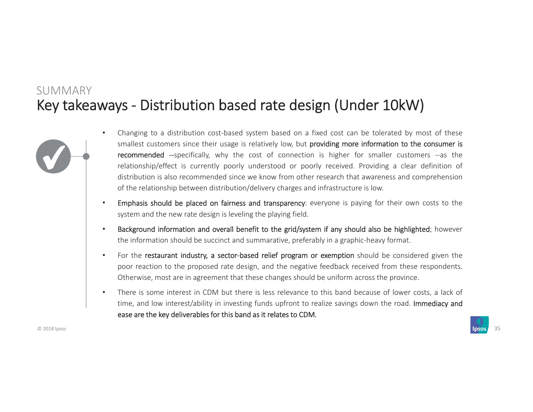### Key takeaways ‐ Distribution based rate design (Under 10kW) SUMMARY



- • Changing to <sup>a</sup> distribution cost‐based system based on <sup>a</sup> fixed cost can be tolerated by most of these smallest customers since their usage is relatively low, but providing more information to the consumer is recommended --specifically, why the cost of connection is higher for smaller customers --as the relationship/effect is currently poorly understood or poorly received. Providing <sup>a</sup> clear definition of distribution is also recommended since we know from other research that awareness and comprehension of the relationship between distribution/delivery charges and infrastructure is low.
- • Emphasis should be placed on fairness and transparency: everyone is paying for their own costs to the system and the new rate design is leveling the playing field.
- • Background information and overall benefit to the grid/system if any should also be highlighted; however the information should be succinct and summarative, preferably in <sup>a</sup> graphic‐heavy format.
- •For the restaurant industry, a sector-based relief program or exemption should be considered given the poor reaction to the proposed rate design, and the negative feedback received from these respondents. Otherwise, most are in agreement that these changes should be uniform across the province.
- • There is some interest in CDM but there is less relevance to this band because of lower costs, <sup>a</sup> lack of time, and low interest/ability in investing funds upfront to realize savings down the road. Immediacy and ease are the key deliverables for this band as it relates to CDM.

© 2018 Ipsos 35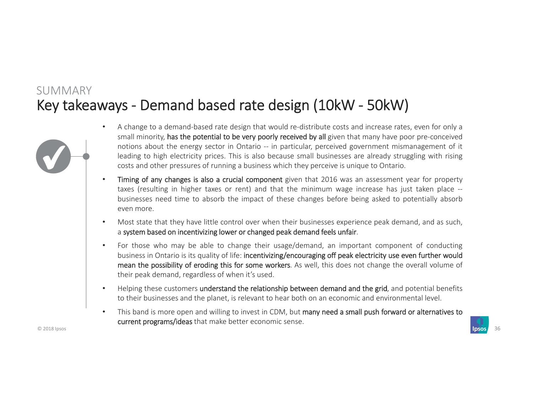### Key takeaways ‐ Demand based rate design (10kW ‐ 50kW) SUMMARY



- • A change to <sup>a</sup> demand‐based rate design that would re‐distribute costs and increase rates, even for only <sup>a</sup> small minority, has the potential to be very poorly received by all given that many have poor pre-conceived notions about the energy sector in Ontario ‐‐ in particular, perceived government mismanagement of it leading to high electricity prices. This is also because small businesses are already struggling with rising costs and other pressures of running <sup>a</sup> business which they perceive is unique to Ontario.
- •Timing of any changes is also a crucial component given that 2016 was an assessment year for property taxes (resulting in higher taxes or rent) and that the minimum wage increase has just taken place ‐‐ businesses need time to absorb the impact of these changes before being asked to potentially absorb even more.
- • Most state that they have little control over when their businesses experience peak demand, and as such, a system based on incentivizing lower or changed peak demand feels unfair.
- • For those who may be able to change their usage/demand, an important component of conducting business in Ontario is its quality of life: incentivizing/encouraging off peak electricity use even further would mean the possibility of eroding this for some workers. As well, this does not change the overall volume of their peak demand, regardless of when it's used.
- •Helping these customers understand the relationship between demand and the grid, and potential benefits to their businesses and the planet, is relevant to hear both on an economic and environmental level.
- •This band is more open and willing to invest in CDM, but many need a small push forward or alternatives to current programs/ideas that make better economic sense.

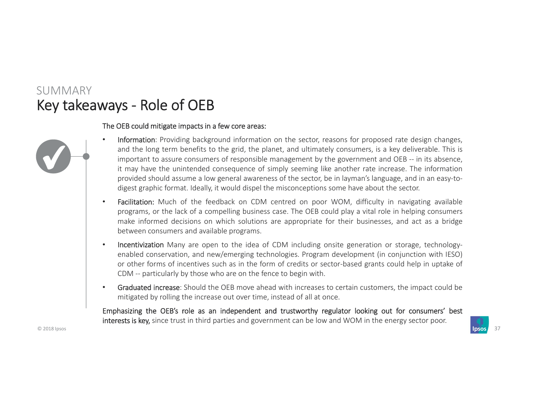### Key takeaways ‐ Role of OEB SUMMARY

#### The OEB could mitigate impacts in <sup>a</sup> few core areas:

- • Information: Providing background information on the sector, reasons for proposed rate design changes, and the long term benefits to the grid, the planet, and ultimately consumers, is <sup>a</sup> key deliverable. This is important to assure consumers of responsible management by the government and OEB -- in its absence, it may have the unintended consequence of simply seeming like another rate increase. The information provided should assume a low general awareness of the sector, be in layman's language, and in an easy-todigest graphic format. Ideally, it would dispel the misconceptions some have about the sector.
	- •Facilitation: Much of the feedback on CDM centred on poor WOM, difficulty in navigating available programs, or the lack of <sup>a</sup> compelling business case. The OEB could play <sup>a</sup> vital role in helping consumers make informed decisions on which solutions are appropriate for their businesses, and act as <sup>a</sup> bridge between consumers and available programs.
	- •• Incentivization Many are open to the idea of CDM including onsite generation or storage, technologyenabled conservation, and new/emerging technologies. Program development (in conjunction with IESO) or other forms of incentives such as in the form of credits or sector‐based grants could help in uptake of CDM ‐‐ particularly by those who are on the fence to begin with.
	- • Graduated increase: Should the OEB move ahead with increases to certain customers, the impact could be mitigated by rolling the increase out over time, instead of all at once.

Emphasizing the OEB's role as an independent and trustworthy regulator looking out for consumers' best interests is key, since trust in third parties and government can be low and WOM in the energy sector poor.

© 2018 Ipsos 37

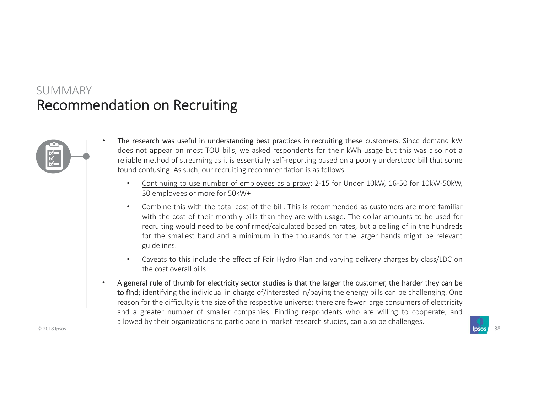### Recommendation on Recruiting SUMMARY

•



- The research was useful in understanding best practices in recruiting these customers. Since demand kW does not appear on most TOU bills, we asked respondents for their kWh usage but this was also not <sup>a</sup> reliable method of streaming as it is essentially self‐reporting based on <sup>a</sup> poorly understood bill that some found confusing. As such, our recruiting recommendation is as follows:
	- • Continuing to use number of employees as <sup>a</sup> proxy: 2‐15 for Under 10kW, 16‐50 for 10kW‐50kW, 30 employees or more for 50kW+
	- • Combine this with the total cost of the bill: This is recommended as customers are more familiar with the cost of their monthly bills than they are with usage. The dollar amounts to be used for recruiting would need to be confirmed/calculated based on rates, but <sup>a</sup> ceiling of in the hundreds for the smallest band and <sup>a</sup> minimum in the thousands for the larger bands might be relevant guidelines.
	- • Caveats to this include the effect of Fair Hydro Plan and varying delivery charges by class/LDC on the cost overall bills
- • A general rule of thumb for electricity sector studies is that the larger the customer, the harder they can be to find: identifying the individual in charge of/interested in/paying the energy bills can be challenging. One reason for the difficulty is the size of the respective universe: there are fewer large consumers of electricity and <sup>a</sup> greater number of smaller companies. Finding respondents who are willing to cooperate, and allowed by their organizations to participate in market research studies, can also be challenges.